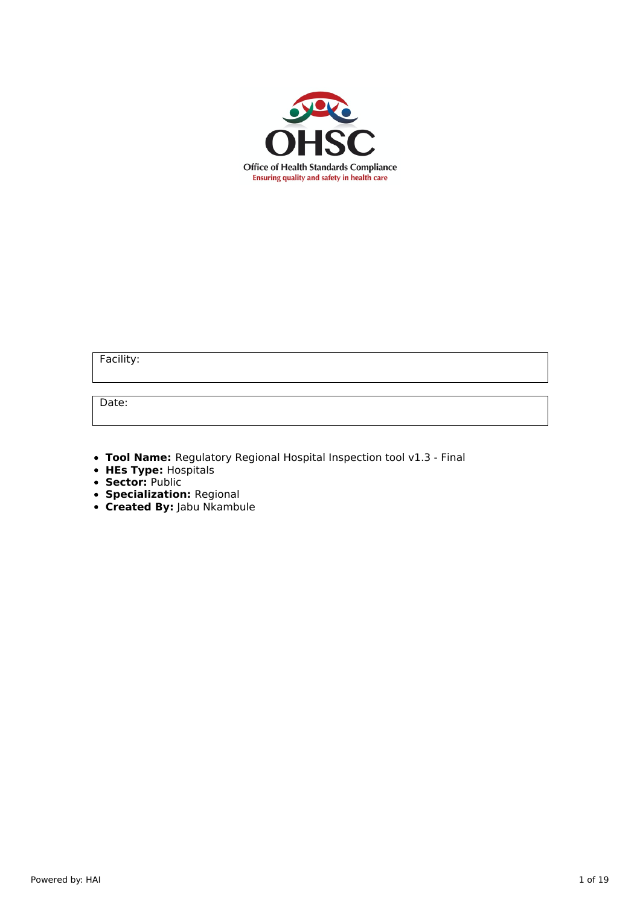

Facility:

Date:

- **Tool Name:** Regulatory Regional Hospital Inspection tool v1.3 Final
- **HEs Type:** Hospitals
- **Sector:** Public
- **Specialization:** Regional
- **Created By:** Jabu Nkambule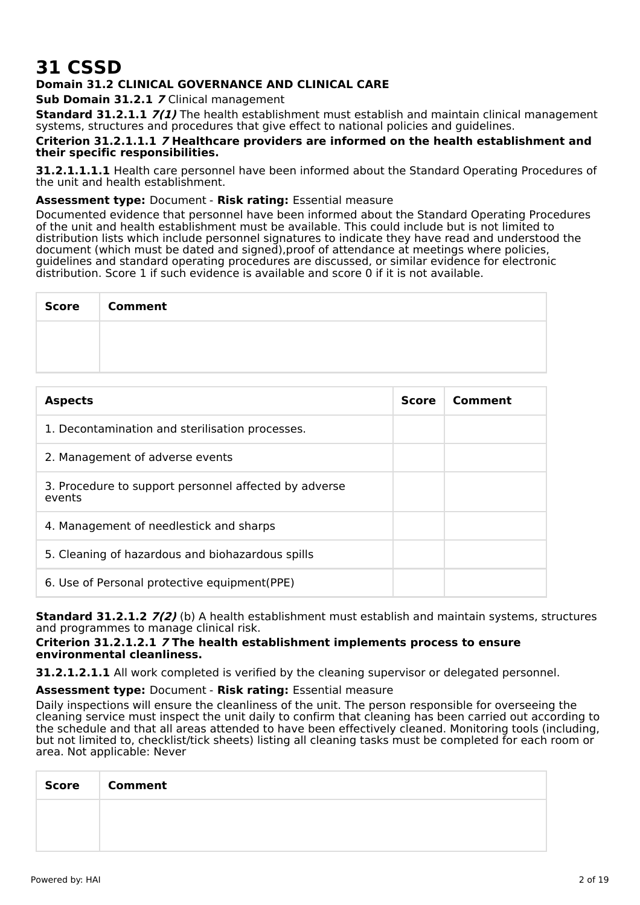# **31 CSSD**

## **Domain 31.2 CLINICAL GOVERNANCE AND CLINICAL CARE**

**Sub Domain 31.2.1 7** Clinical management

**Standard 31.2.1.1 7(1)** The health establishment must establish and maintain clinical management systems, structures and procedures that give effect to national policies and guidelines.

#### **Criterion 31.2.1.1.1 7 Healthcare providers are informed on the health establishment and their specific responsibilities.**

**31.2.1.1.1.1** Health care personnel have been informed about the Standard Operating Procedures of the unit and health establishment.

## **Assessment type:** Document - **Risk rating:** Essential measure

Documented evidence that personnel have been informed about the Standard Operating Procedures of the unit and health establishment must be available. This could include but is not limited to distribution lists which include personnel signatures to indicate they have read and understood the document (which must be dated and signed),proof of attendance at meetings where policies, guidelines and standard operating procedures are discussed, or similar evidence for electronic distribution. Score 1 if such evidence is available and score 0 if it is not available.

| Score | <b>Comment</b> |
|-------|----------------|
|       |                |
|       |                |

| <b>Aspects</b>                                                  | <b>Score</b> | Comment |
|-----------------------------------------------------------------|--------------|---------|
| 1. Decontamination and sterilisation processes.                 |              |         |
| 2. Management of adverse events                                 |              |         |
| 3. Procedure to support personnel affected by adverse<br>events |              |         |
| 4. Management of needlestick and sharps                         |              |         |
| 5. Cleaning of hazardous and biohazardous spills                |              |         |
| 6. Use of Personal protective equipment (PPE)                   |              |         |

**Standard 31.2.1.2 7(2)** (b) A health establishment must establish and maintain systems, structures and programmes to manage clinical risk.

## **Criterion 31.2.1.2.1 7 The health establishment implements process to ensure environmental cleanliness.**

**31.2.1.2.1.1** All work completed is verified by the cleaning supervisor or delegated personnel.

## **Assessment type:** Document - **Risk rating:** Essential measure

Daily inspections will ensure the cleanliness of the unit. The person responsible for overseeing the cleaning service must inspect the unit daily to confirm that cleaning has been carried out according to the schedule and that all areas attended to have been effectively cleaned. Monitoring tools (including, but not limited to, checklist/tick sheets) listing all cleaning tasks must be completed for each room or area. Not applicable: Never

| <b>Score</b> | Comment |
|--------------|---------|
|              |         |
|              |         |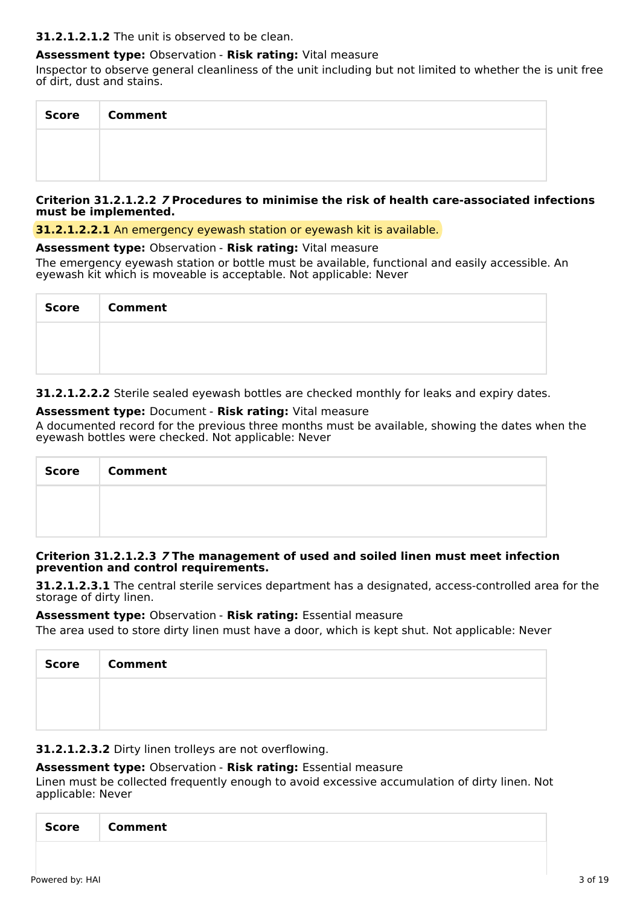## **31.2.1.2.1.2** The unit is observed to be clean.

## **Assessment type:** Observation - **Risk rating:** Vital measure

Inspector to observe general cleanliness of the unit including but not limited to whether the is unit free of dirt, dust and stains.

| <b>Score</b> | <b>Comment</b> |
|--------------|----------------|
|              |                |
|              |                |

## **Criterion 31.2.1.2.2 7 Procedures to minimise the risk of health care-associated infections must be implemented.**

**31.2.1.2.2.1** An emergency eyewash station or eyewash kit is available.

#### **Assessment type:** Observation - **Risk rating:** Vital measure

The emergency eyewash station or bottle must be available, functional and easily accessible. An eyewash kit which is moveable is acceptable. Not applicable: Never

| <b>Score</b> | <b>Comment</b> |
|--------------|----------------|
|              |                |
|              |                |

**31.2.1.2.2.2** Sterile sealed eyewash bottles are checked monthly for leaks and expiry dates.

## **Assessment type:** Document - **Risk rating:** Vital measure

A documented record for the previous three months must be available, showing the dates when the eyewash bottles were checked. Not applicable: Never

| Score | <b>Comment</b> |
|-------|----------------|
|       |                |
|       |                |

## **Criterion 31.2.1.2.3 7 The management of used and soiled linen must meet infection prevention and control requirements.**

**31.2.1.2.3.1** The central sterile services department has a designated, access-controlled area for the storage of dirty linen.

## **Assessment type:** Observation - **Risk rating:** Essential measure

The area used to store dirty linen must have a door, which is kept shut. Not applicable: Never

| Score   Comment |
|-----------------|
|                 |
|                 |

**31.2.1.2.3.2** Dirty linen trolleys are not overflowing.

## **Assessment type:** Observation - **Risk rating:** Essential measure

Linen must be collected frequently enough to avoid excessive accumulation of dirty linen. Not applicable: Never

|--|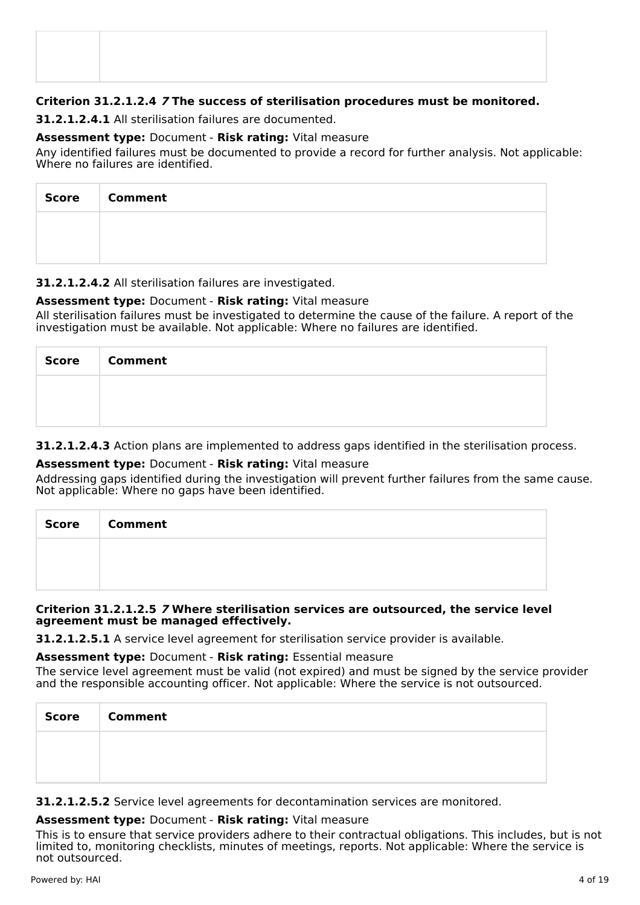## **Criterion 31.2.1.2.4 7 The success of sterilisation procedures must be monitored.**

**31.2.1.2.4.1** All sterilisation failures are documented.

## **Assessment type:** Document - **Risk rating:** Vital measure

Any identified failures must be documented to provide a record for further analysis. Not applicable: Where no failures are identified.

| <b>Score</b> | <b>Comment</b> |
|--------------|----------------|
|              |                |
|              |                |

## **31.2.1.2.4.2** All sterilisation failures are investigated.

## **Assessment type:** Document - **Risk rating:** Vital measure

All sterilisation failures must be investigated to determine the cause of the failure. A report of the investigation must be available. Not applicable: Where no failures are identified.

| Score Comment |
|---------------|
|               |
|               |

**31.2.1.2.4.3** Action plans are implemented to address gaps identified in the sterilisation process.

## **Assessment type:** Document - **Risk rating:** Vital measure

Addressing gaps identified during the investigation will prevent further failures from the same cause. Not applicable: Where no gaps have been identified.

| <b>Score</b> | <b>Comment</b> |
|--------------|----------------|
|              |                |
|              |                |

## **Criterion 31.2.1.2.5 7 Where sterilisation services are outsourced, the service level agreement must be managed effectively.**

**31.2.1.2.5.1** A service level agreement for sterilisation service provider is available.

## **Assessment type:** Document - **Risk rating:** Essential measure

The service level agreement must be valid (not expired) and must be signed by the service provider and the responsible accounting officer. Not applicable: Where the service is not outsourced.

| <b>Score</b> | <b>Comment</b> |
|--------------|----------------|
|              |                |
|              |                |

**31.2.1.2.5.2** Service level agreements for decontamination services are monitored.

## **Assessment type:** Document - **Risk rating:** Vital measure

This is to ensure that service providers adhere to their contractual obligations. This includes, but is not limited to, monitoring checklists, minutes of meetings, reports. Not applicable: Where the service is not outsourced.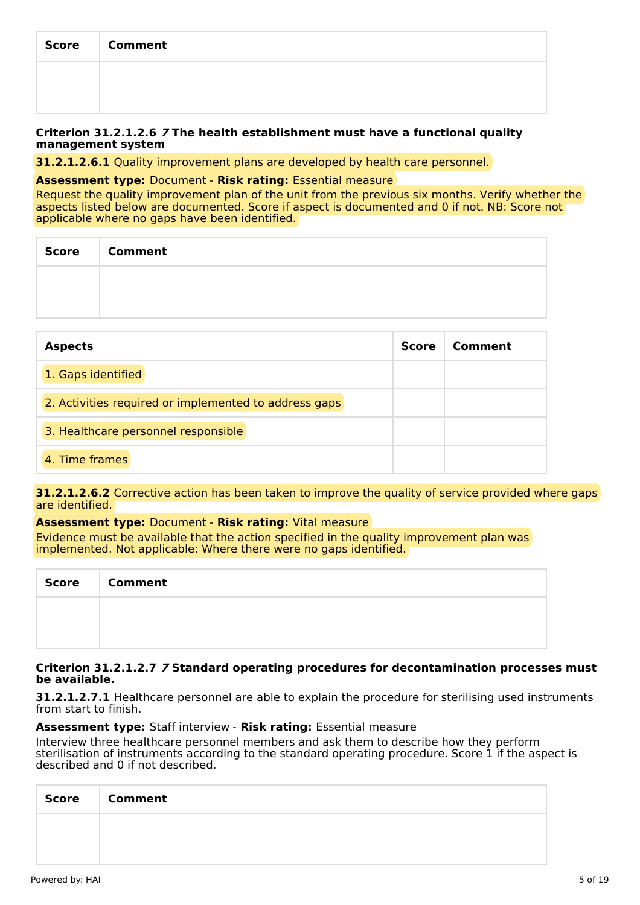| <b>Score</b> | <b>Comment</b> |
|--------------|----------------|
|              |                |
|              |                |

#### **Criterion 31.2.1.2.6 7 The health establishment must have a functional quality management system**

**31.2.1.2.6.1** Quality improvement plans are developed by health care personnel.

#### **Assessment type:** Document - **Risk rating:** Essential measure

Request the quality improvement plan of the unit from the previous six months. Verify whether the aspects listed below are documented. Score if aspect is documented and 0 if not. NB: Score not applicable where no gaps have been identified.

| Score   Comment |
|-----------------|
|                 |
|                 |

| <b>Aspects</b>                                        | <b>Score</b> | Comment |
|-------------------------------------------------------|--------------|---------|
| 1. Gaps identified                                    |              |         |
| 2. Activities required or implemented to address gaps |              |         |
| 3. Healthcare personnel responsible                   |              |         |
| 4. Time frames                                        |              |         |

**31.2.1.2.6.2** Corrective action has been taken to improve the quality of service provided where gaps are identified.

## **Assessment type:** Document - **Risk rating:** Vital measure

Evidence must be available that the action specified in the quality improvement plan was implemented. Not applicable: Where there were no gaps identified.

| <b>Score</b> | <b>Comment</b> |
|--------------|----------------|
|              |                |
|              |                |

#### **Criterion 31.2.1.2.7 7 Standard operating procedures for decontamination processes must be available.**

**31.2.1.2.7.1** Healthcare personnel are able to explain the procedure for sterilising used instruments from start to finish.

## **Assessment type:** Staff interview - **Risk rating:** Essential measure

Interview three healthcare personnel members and ask them to describe how they perform sterilisation of instruments according to the standard operating procedure. Score 1 if the aspect is described and 0 if not described.

| Score Comment |
|---------------|
|               |
|               |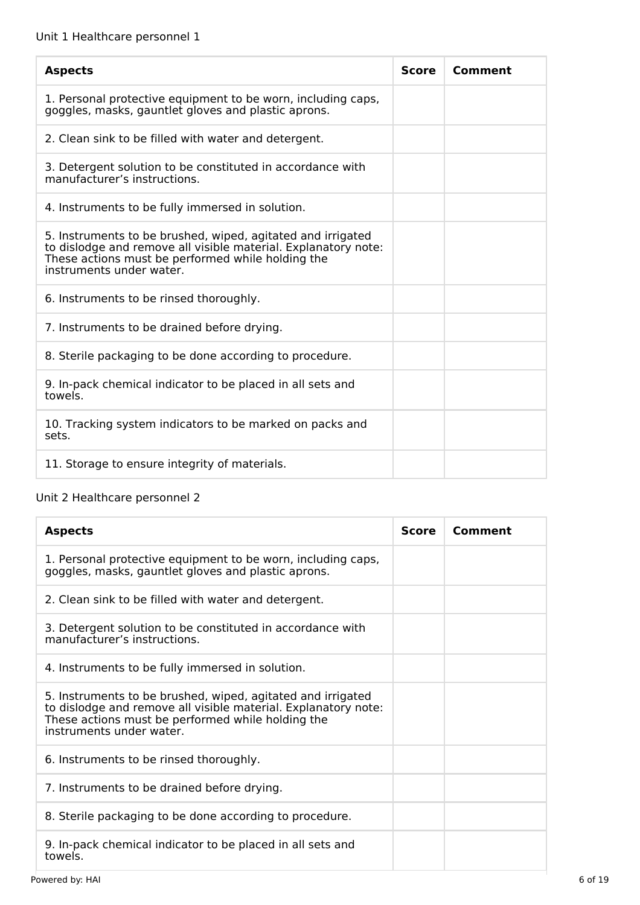| <b>Aspects</b>                                                                                                                                                                                                 | <b>Score</b> | Comment |
|----------------------------------------------------------------------------------------------------------------------------------------------------------------------------------------------------------------|--------------|---------|
| 1. Personal protective equipment to be worn, including caps,<br>goggles, masks, gauntlet gloves and plastic aprons.                                                                                            |              |         |
| 2. Clean sink to be filled with water and detergent.                                                                                                                                                           |              |         |
| 3. Detergent solution to be constituted in accordance with<br>manufacturer's instructions.                                                                                                                     |              |         |
| 4. Instruments to be fully immersed in solution.                                                                                                                                                               |              |         |
| 5. Instruments to be brushed, wiped, agitated and irrigated<br>to dislodge and remove all visible material. Explanatory note:<br>These actions must be performed while holding the<br>instruments under water. |              |         |
| 6. Instruments to be rinsed thoroughly.                                                                                                                                                                        |              |         |
| 7. Instruments to be drained before drying.                                                                                                                                                                    |              |         |
| 8. Sterile packaging to be done according to procedure.                                                                                                                                                        |              |         |
| 9. In-pack chemical indicator to be placed in all sets and<br>towels.                                                                                                                                          |              |         |
| 10. Tracking system indicators to be marked on packs and<br>sets.                                                                                                                                              |              |         |
| 11. Storage to ensure integrity of materials.                                                                                                                                                                  |              |         |

## Unit 2 Healthcare personnel 2

| <b>Aspects</b>                                                                                                                                                                                                 | Score | Comment |
|----------------------------------------------------------------------------------------------------------------------------------------------------------------------------------------------------------------|-------|---------|
| 1. Personal protective equipment to be worn, including caps,<br>goggles, masks, gauntlet gloves and plastic aprons.                                                                                            |       |         |
| 2. Clean sink to be filled with water and detergent.                                                                                                                                                           |       |         |
| 3. Detergent solution to be constituted in accordance with<br>manufacturer's instructions.                                                                                                                     |       |         |
| 4. Instruments to be fully immersed in solution.                                                                                                                                                               |       |         |
| 5. Instruments to be brushed, wiped, agitated and irrigated<br>to dislodge and remove all visible material. Explanatory note:<br>These actions must be performed while holding the<br>instruments under water. |       |         |
| 6. Instruments to be rinsed thoroughly.                                                                                                                                                                        |       |         |
| 7. Instruments to be drained before drying.                                                                                                                                                                    |       |         |
| 8. Sterile packaging to be done according to procedure.                                                                                                                                                        |       |         |
| 9. In-pack chemical indicator to be placed in all sets and<br>towels.                                                                                                                                          |       |         |
| Powered by: HAI                                                                                                                                                                                                |       |         |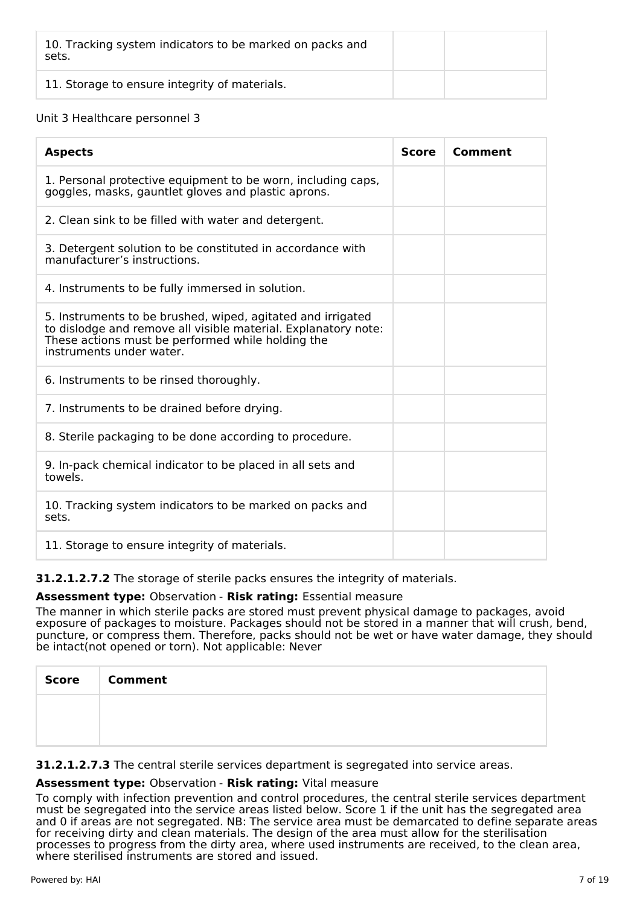| 10. Tracking system indicators to be marked on packs and<br>sets. |  |
|-------------------------------------------------------------------|--|
| 11. Storage to ensure integrity of materials.                     |  |

## Unit 3 Healthcare personnel 3

| <b>Aspects</b>                                                                                                                                                                                                 | <b>Score</b> | Comment |
|----------------------------------------------------------------------------------------------------------------------------------------------------------------------------------------------------------------|--------------|---------|
| 1. Personal protective equipment to be worn, including caps,<br>goggles, masks, gauntlet gloves and plastic aprons.                                                                                            |              |         |
| 2. Clean sink to be filled with water and detergent.                                                                                                                                                           |              |         |
| 3. Detergent solution to be constituted in accordance with<br>manufacturer's instructions.                                                                                                                     |              |         |
| 4. Instruments to be fully immersed in solution.                                                                                                                                                               |              |         |
| 5. Instruments to be brushed, wiped, agitated and irrigated<br>to dislodge and remove all visible material. Explanatory note:<br>These actions must be performed while holding the<br>instruments under water. |              |         |
| 6. Instruments to be rinsed thoroughly.                                                                                                                                                                        |              |         |
| 7. Instruments to be drained before drying.                                                                                                                                                                    |              |         |
| 8. Sterile packaging to be done according to procedure.                                                                                                                                                        |              |         |
| 9. In-pack chemical indicator to be placed in all sets and<br>towels.                                                                                                                                          |              |         |
| 10. Tracking system indicators to be marked on packs and<br>sets.                                                                                                                                              |              |         |
| 11. Storage to ensure integrity of materials.                                                                                                                                                                  |              |         |

**31.2.1.2.7.2** The storage of sterile packs ensures the integrity of materials.

## **Assessment type:** Observation - **Risk rating:** Essential measure

The manner in which sterile packs are stored must prevent physical damage to packages, avoid exposure of packages to moisture. Packages should not be stored in a manner that will crush, bend, puncture, or compress them. Therefore, packs should not be wet or have water damage, they should be intact(not opened or torn). Not applicable: Never

| Score   Comment |
|-----------------|
|                 |
|                 |

**31.2.1.2.7.3** The central sterile services department is segregated into service areas.

## **Assessment type:** Observation - **Risk rating:** Vital measure

To comply with infection prevention and control procedures, the central sterile services department must be segregated into the service areas listed below. Score 1 if the unit has the segregated area and 0 if areas are not segregated. NB: The service area must be demarcated to define separate areas for receiving dirty and clean materials. The design of the area must allow for the sterilisation processes to progress from the dirty area, where used instruments are received, to the clean area, where sterilised instruments are stored and issued.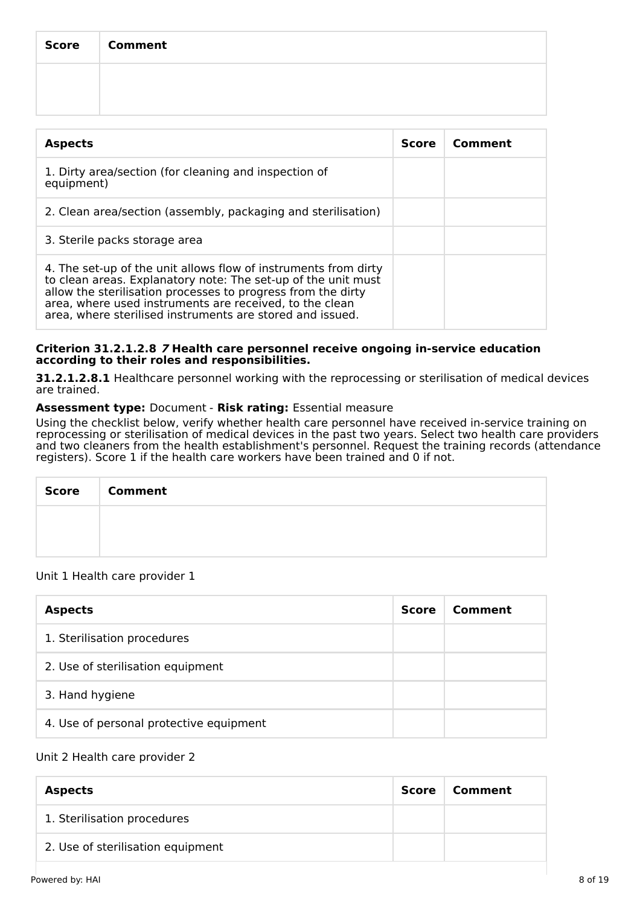| Score   Comment |
|-----------------|
|                 |
|                 |

| <b>Aspects</b>                                                                                                                                                                                                                                                                                                           | <b>Score</b> | Comment |
|--------------------------------------------------------------------------------------------------------------------------------------------------------------------------------------------------------------------------------------------------------------------------------------------------------------------------|--------------|---------|
| 1. Dirty area/section (for cleaning and inspection of<br>equipment)                                                                                                                                                                                                                                                      |              |         |
| 2. Clean area/section (assembly, packaging and sterilisation)                                                                                                                                                                                                                                                            |              |         |
| 3. Sterile packs storage area                                                                                                                                                                                                                                                                                            |              |         |
| 4. The set-up of the unit allows flow of instruments from dirty<br>to clean areas. Explanatory note: The set-up of the unit must<br>allow the sterilisation processes to progress from the dirty<br>area, where used instruments are received, to the clean<br>area, where sterilised instruments are stored and issued. |              |         |

## **Criterion 31.2.1.2.8 7 Health care personnel receive ongoing in-service education according to their roles and responsibilities.**

**31.2.1.2.8.1** Healthcare personnel working with the reprocessing or sterilisation of medical devices are trained.

## **Assessment type:** Document - **Risk rating:** Essential measure

Using the checklist below, verify whether health care personnel have received in-service training on reprocessing or sterilisation of medical devices in the past two years. Select two health care providers and two cleaners from the health establishment's personnel. Request the training records (attendance registers). Score 1 if the health care workers have been trained and 0 if not.

| <b>Score</b> | <b>Comment</b> |
|--------------|----------------|
|              |                |
|              |                |

## Unit 1 Health care provider 1

| <b>Aspects</b>                          | <b>Score</b> | Comment |
|-----------------------------------------|--------------|---------|
| 1. Sterilisation procedures             |              |         |
| 2. Use of sterilisation equipment       |              |         |
| 3. Hand hygiene                         |              |         |
| 4. Use of personal protective equipment |              |         |

## Unit 2 Health care provider 2

| <b>Aspects</b>                    | Score | Comment |
|-----------------------------------|-------|---------|
| 1. Sterilisation procedures       |       |         |
| 2. Use of sterilisation equipment |       |         |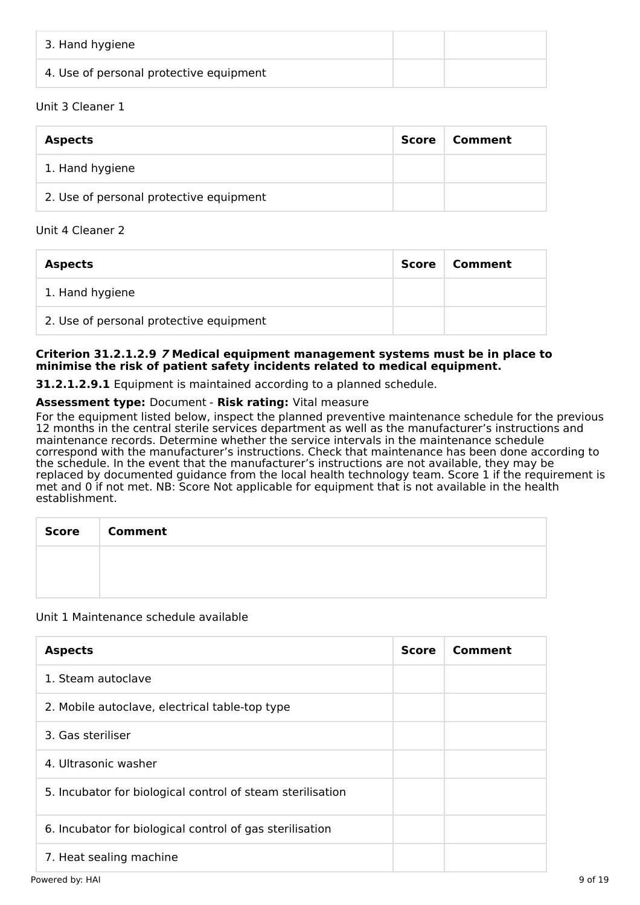| 3. Hand hygiene                         |  |
|-----------------------------------------|--|
| 4. Use of personal protective equipment |  |

## Unit 3 Cleaner 1

| <b>Aspects</b>                          | Score | Comment |
|-----------------------------------------|-------|---------|
| 1. Hand hygiene                         |       |         |
| 2. Use of personal protective equipment |       |         |

## Unit 4 Cleaner 2

| <b>Aspects</b>                          | Score | Comment |
|-----------------------------------------|-------|---------|
| 1. Hand hygiene                         |       |         |
| 2. Use of personal protective equipment |       |         |

## **Criterion 31.2.1.2.9 7 Medical equipment management systems must be in place to minimise the risk of patient safety incidents related to medical equipment.**

**31.2.1.2.9.1** Equipment is maintained according to a planned schedule.

## **Assessment type:** Document - **Risk rating:** Vital measure

For the equipment listed below, inspect the planned preventive maintenance schedule for the previous 12 months in the central sterile services department as well as the manufacturer's instructions and maintenance records. Determine whether the service intervals in the maintenance schedule correspond with the manufacturer's instructions. Check that maintenance has been done according to the schedule. In the event that the manufacturer's instructions are not available, they may be replaced by documented guidance from the local health technology team. Score 1 if the requirement is met and 0 if not met. NB: Score Not applicable for equipment that is not available in the health establishment.

| <b>Score</b> | <b>Comment</b> |
|--------------|----------------|
|              |                |
|              |                |

## Unit 1 Maintenance schedule available

| <b>Aspects</b>                                             | <b>Score</b> | Comment |
|------------------------------------------------------------|--------------|---------|
| 1. Steam autoclave                                         |              |         |
| 2. Mobile autoclave, electrical table-top type             |              |         |
| 3. Gas steriliser                                          |              |         |
| 4. Ultrasonic washer                                       |              |         |
| 5. Incubator for biological control of steam sterilisation |              |         |
| 6. Incubator for biological control of gas sterilisation   |              |         |
| 7. Heat sealing machine                                    |              |         |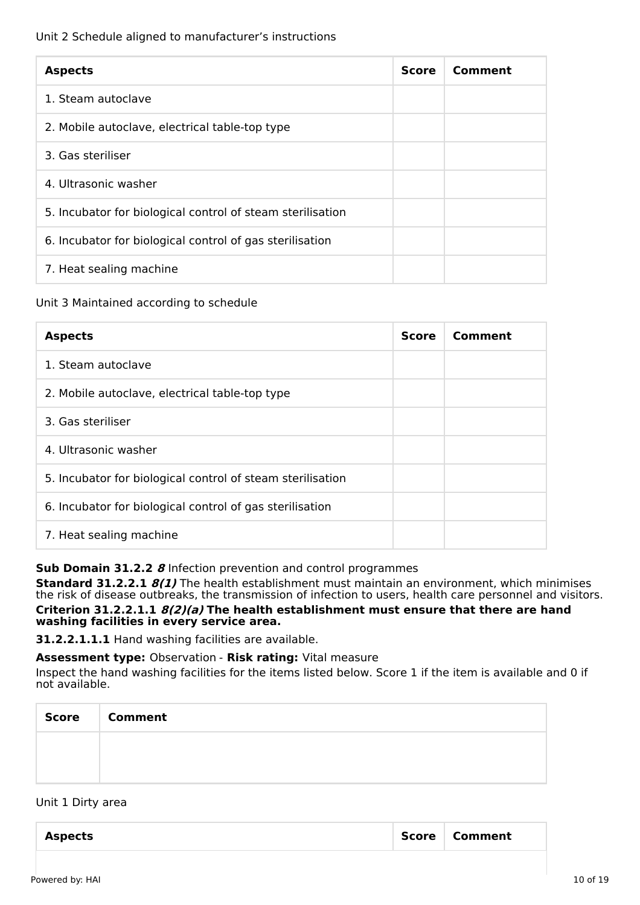## Unit 2 Schedule aligned to manufacturer's instructions

| <b>Aspects</b>                                             | <b>Score</b> | Comment |
|------------------------------------------------------------|--------------|---------|
| 1. Steam autoclave                                         |              |         |
| 2. Mobile autoclave, electrical table-top type             |              |         |
| 3. Gas steriliser                                          |              |         |
| 4. Ultrasonic washer                                       |              |         |
| 5. Incubator for biological control of steam sterilisation |              |         |
| 6. Incubator for biological control of gas sterilisation   |              |         |
| 7. Heat sealing machine                                    |              |         |

## Unit 3 Maintained according to schedule

| <b>Aspects</b>                                             | <b>Score</b> | Comment |
|------------------------------------------------------------|--------------|---------|
| 1. Steam autoclave                                         |              |         |
| 2. Mobile autoclave, electrical table-top type             |              |         |
| 3. Gas steriliser                                          |              |         |
| 4. Ultrasonic washer                                       |              |         |
| 5. Incubator for biological control of steam sterilisation |              |         |
| 6. Incubator for biological control of gas sterilisation   |              |         |
| 7. Heat sealing machine                                    |              |         |

## **Sub Domain 31.2.2 8** Infection prevention and control programmes

**Standard 31.2.2.1 8(1)** The health establishment must maintain an environment, which minimises the risk of disease outbreaks, the transmission of infection to users, health care personnel and visitors. **Criterion 31.2.2.1.1 8(2)(a) The health establishment must ensure that there are hand washing facilities in every service area.**

**31.2.2.1.1.1** Hand washing facilities are available.

**Assessment type:** Observation - **Risk rating:** Vital measure

Inspect the hand washing facilities for the items listed below. Score 1 if the item is available and 0 if not available.

| Score Comment |
|---------------|
|               |
|               |

## Unit 1 Dirty area

| Comment<br>Score<br><b>Aspects</b> |
|------------------------------------|
|------------------------------------|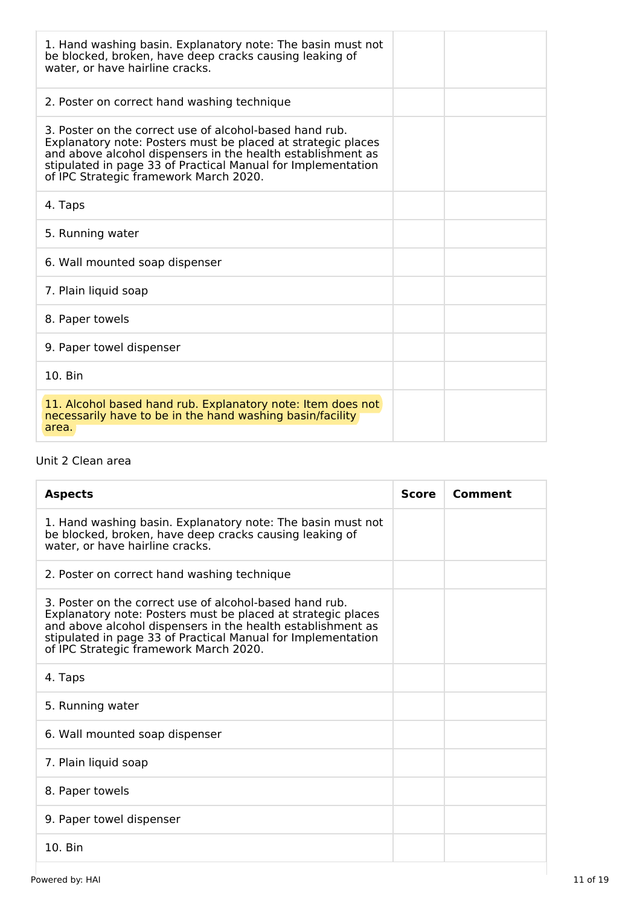| 1. Hand washing basin. Explanatory note: The basin must not<br>be blocked, broken, have deep cracks causing leaking of<br>water, or have hairline cracks.                                                                                                                                        |  |
|--------------------------------------------------------------------------------------------------------------------------------------------------------------------------------------------------------------------------------------------------------------------------------------------------|--|
| 2. Poster on correct hand washing technique                                                                                                                                                                                                                                                      |  |
| 3. Poster on the correct use of alcohol-based hand rub.<br>Explanatory note: Posters must be placed at strategic places<br>and above alcohol dispensers in the health establishment as<br>stipulated in page 33 of Practical Manual for Implementation<br>of IPC Strategic framework March 2020. |  |
| 4. Taps                                                                                                                                                                                                                                                                                          |  |
| 5. Running water                                                                                                                                                                                                                                                                                 |  |
| 6. Wall mounted soap dispenser                                                                                                                                                                                                                                                                   |  |
| 7. Plain liquid soap                                                                                                                                                                                                                                                                             |  |
| 8. Paper towels                                                                                                                                                                                                                                                                                  |  |
| 9. Paper towel dispenser                                                                                                                                                                                                                                                                         |  |
| 10. Bin                                                                                                                                                                                                                                                                                          |  |
| 11. Alcohol based hand rub. Explanatory note: Item does not<br>necessarily have to be in the hand washing basin/facility<br>area.                                                                                                                                                                |  |

## Unit 2 Clean area

| <b>Aspects</b>                                                                                                                                                                                                                                                                                   | <b>Score</b> | Comment |
|--------------------------------------------------------------------------------------------------------------------------------------------------------------------------------------------------------------------------------------------------------------------------------------------------|--------------|---------|
| 1. Hand washing basin. Explanatory note: The basin must not<br>be blocked, broken, have deep cracks causing leaking of<br>water, or have hairline cracks.                                                                                                                                        |              |         |
| 2. Poster on correct hand washing technique                                                                                                                                                                                                                                                      |              |         |
| 3. Poster on the correct use of alcohol-based hand rub.<br>Explanatory note: Posters must be placed at strategic places<br>and above alcohol dispensers in the health establishment as<br>stipulated in page 33 of Practical Manual for Implementation<br>of IPC Strategic framework March 2020. |              |         |
| 4. Taps                                                                                                                                                                                                                                                                                          |              |         |
| 5. Running water                                                                                                                                                                                                                                                                                 |              |         |
| 6. Wall mounted soap dispenser                                                                                                                                                                                                                                                                   |              |         |
| 7. Plain liquid soap                                                                                                                                                                                                                                                                             |              |         |
| 8. Paper towels                                                                                                                                                                                                                                                                                  |              |         |
| 9. Paper towel dispenser                                                                                                                                                                                                                                                                         |              |         |
| $10.$ Bin                                                                                                                                                                                                                                                                                        |              |         |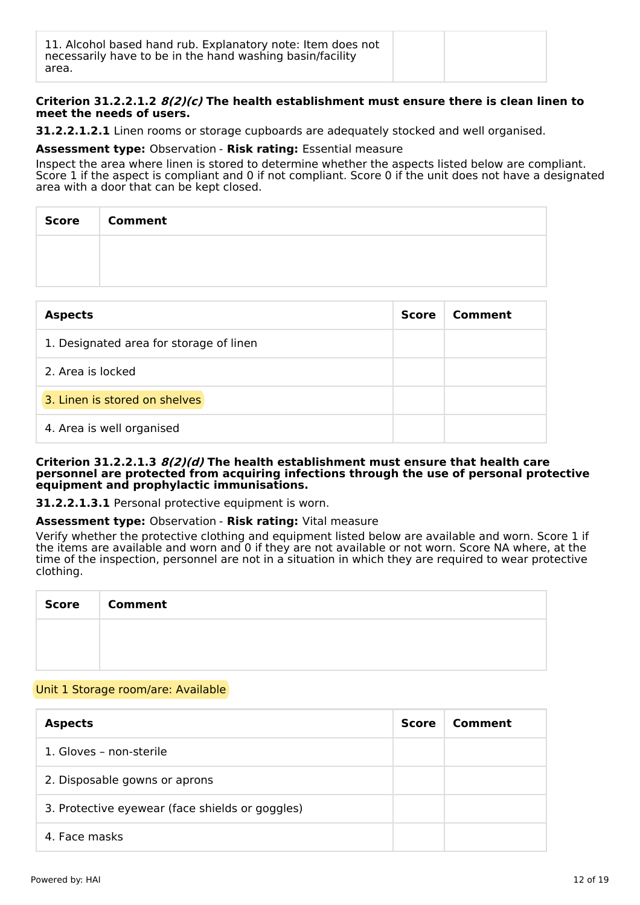## **Criterion 31.2.2.1.2 8(2)(c) The health establishment must ensure there is clean linen to meet the needs of users.**

**31.2.2.1.2.1** Linen rooms or storage cupboards are adequately stocked and well organised.

#### **Assessment type:** Observation - **Risk rating:** Essential measure

Inspect the area where linen is stored to determine whether the aspects listed below are compliant. Score 1 if the aspect is compliant and 0 if not compliant. Score 0 if the unit does not have a designated area with a door that can be kept closed.

| Score | <b>Comment</b> |
|-------|----------------|
|       |                |
|       |                |

| <b>Aspects</b>                          | <b>Score</b> | Comment |
|-----------------------------------------|--------------|---------|
| 1. Designated area for storage of linen |              |         |
| 2. Area is locked                       |              |         |
| 3. Linen is stored on shelves           |              |         |
| 4. Area is well organised               |              |         |

#### **Criterion 31.2.2.1.3 8(2)(d) The health establishment must ensure that health care personnel are protected from acquiring infections through the use of personal protective equipment and prophylactic immunisations.**

**31.2.2.1.3.1** Personal protective equipment is worn.

## **Assessment type:** Observation - **Risk rating:** Vital measure

Verify whether the protective clothing and equipment listed below are available and worn. Score 1 if the items are available and worn and 0 if they are not available or not worn. Score NA where, at the time of the inspection, personnel are not in a situation in which they are required to wear protective clothing.

| Score   Comment |
|-----------------|
|                 |
|                 |

## Unit 1 Storage room/are: Available

| <b>Aspects</b>                                  | Score | Comment |
|-------------------------------------------------|-------|---------|
| 1. Gloves - non-sterile                         |       |         |
| 2. Disposable gowns or aprons                   |       |         |
| 3. Protective eyewear (face shields or goggles) |       |         |
| 4. Face masks                                   |       |         |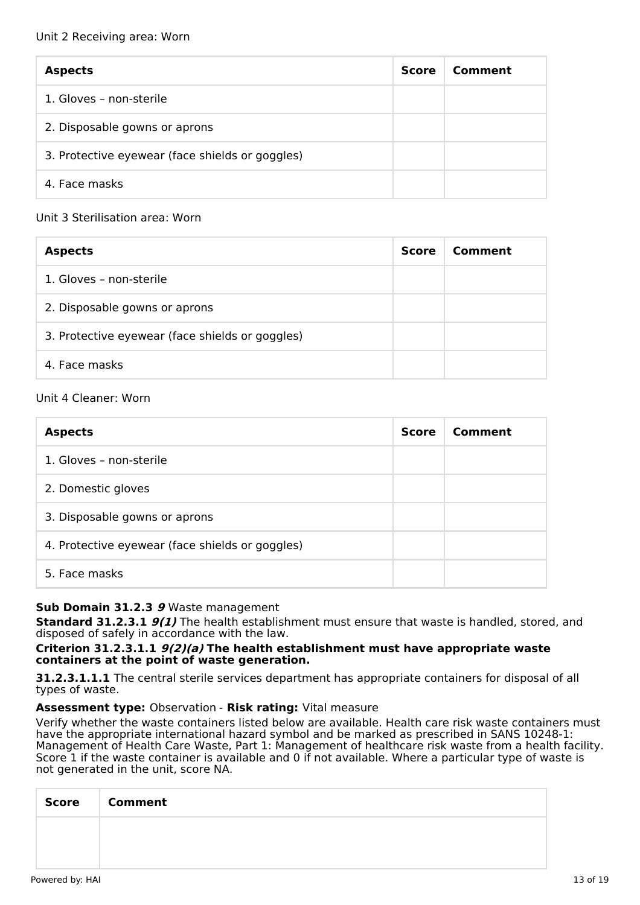| <b>Aspects</b>                                  | <b>Score</b> | Comment |
|-------------------------------------------------|--------------|---------|
| 1. Gloves - non-sterile                         |              |         |
| 2. Disposable gowns or aprons                   |              |         |
| 3. Protective eyewear (face shields or goggles) |              |         |
| 4. Face masks                                   |              |         |

## Unit 3 Sterilisation area: Worn

| <b>Aspects</b>                                  | <b>Score</b> | Comment |
|-------------------------------------------------|--------------|---------|
| 1. Gloves - non-sterile                         |              |         |
| 2. Disposable gowns or aprons                   |              |         |
| 3. Protective eyewear (face shields or goggles) |              |         |
| 4. Face masks                                   |              |         |

## Unit 4 Cleaner: Worn

| <b>Aspects</b>                                  | <b>Score</b> | Comment |
|-------------------------------------------------|--------------|---------|
| 1. Gloves - non-sterile                         |              |         |
| 2. Domestic gloves                              |              |         |
| 3. Disposable gowns or aprons                   |              |         |
| 4. Protective eyewear (face shields or goggles) |              |         |
| 5. Face masks                                   |              |         |

## **Sub Domain 31.2.3 9** Waste management

**Standard 31.2.3.1 9(1)** The health establishment must ensure that waste is handled, stored, and disposed of safely in accordance with the law.

## **Criterion 31.2.3.1.1 9(2)(a) The health establishment must have appropriate waste containers at the point of waste generation.**

**31.2.3.1.1.1** The central sterile services department has appropriate containers for disposal of all types of waste.

## **Assessment type:** Observation - **Risk rating:** Vital measure

Verify whether the waste containers listed below are available. Health care risk waste containers must have the appropriate international hazard symbol and be marked as prescribed in SANS 10248-1: Management of Health Care Waste, Part 1: Management of healthcare risk waste from a health facility. Score 1 if the waste container is available and 0 if not available. Where a particular type of waste is not generated in the unit, score NA.

| Score   Comment |
|-----------------|
|                 |
|                 |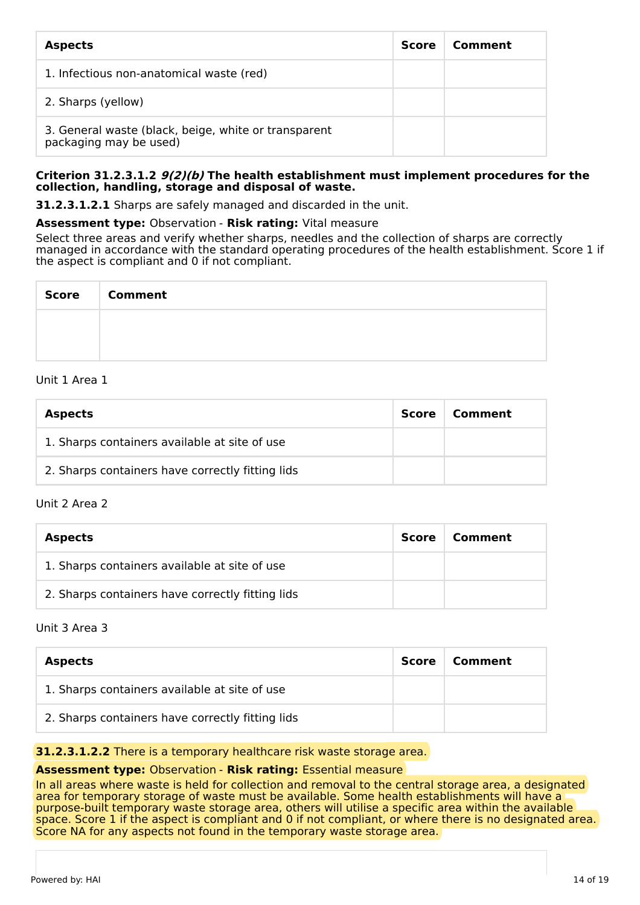| <b>Aspects</b>                                                                 | <b>Score</b> | Comment |
|--------------------------------------------------------------------------------|--------------|---------|
| 1. Infectious non-anatomical waste (red)                                       |              |         |
| 2. Sharps (yellow)                                                             |              |         |
| 3. General waste (black, beige, white or transparent<br>packaging may be used) |              |         |

#### **Criterion 31.2.3.1.2 9(2)(b) The health establishment must implement procedures for the collection, handling, storage and disposal of waste.**

**31.2.3.1.2.1** Sharps are safely managed and discarded in the unit.

**Assessment type:** Observation - **Risk rating:** Vital measure

Select three areas and verify whether sharps, needles and the collection of sharps are correctly managed in accordance with the standard operating procedures of the health establishment. Score 1 if the aspect is compliant and 0 if not compliant.

| Score   Comment |
|-----------------|
|                 |
|                 |

## Unit 1 Area 1

| <b>Aspects</b>                                   | <b>Score</b> | Comment |
|--------------------------------------------------|--------------|---------|
| 1. Sharps containers available at site of use    |              |         |
| 2. Sharps containers have correctly fitting lids |              |         |

## Unit 2 Area 2

| <b>Aspects</b>                                   | Score | Comment |
|--------------------------------------------------|-------|---------|
| 1. Sharps containers available at site of use    |       |         |
| 2. Sharps containers have correctly fitting lids |       |         |

## Unit 3 Area 3

| <b>Aspects</b>                                   | Score | Comment |
|--------------------------------------------------|-------|---------|
| 1. Sharps containers available at site of use    |       |         |
| 2. Sharps containers have correctly fitting lids |       |         |

## **31.2.3.1.2.2** There is a temporary healthcare risk waste storage area.

## **Assessment type:** Observation - **Risk rating:** Essential measure

In all areas where waste is held for collection and removal to the central storage area, a designated area for temporary storage of waste must be available. Some health establishments will have a purpose-built temporary waste storage area, others will utilise a specific area within the available space. Score 1 if the aspect is compliant and 0 if not compliant, or where there is no designated area. Score NA for any aspects not found in the temporary waste storage area.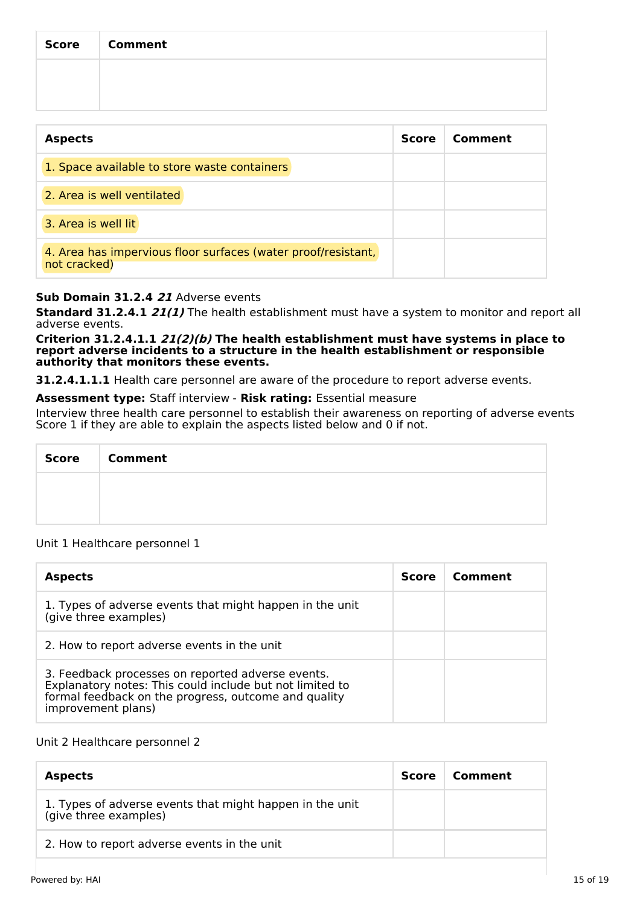| Score   Comment |
|-----------------|
|                 |
|                 |

| <b>Aspects</b>                                                                | <b>Score</b> | Comment |
|-------------------------------------------------------------------------------|--------------|---------|
| 1. Space available to store waste containers                                  |              |         |
| 2. Area is well ventilated                                                    |              |         |
| 3. Area is well lit                                                           |              |         |
| 4. Area has impervious floor surfaces (water proof/resistant,<br>not cracked) |              |         |

## **Sub Domain 31.2.4 21** Adverse events

**Standard 31.2.4.1 21(1)** The health establishment must have a system to monitor and report all adverse events.

**Criterion 31.2.4.1.1 21(2)(b) The health establishment must have systems in place to report adverse incidents to a structure in the health establishment or responsible authority that monitors these events.**

**31.2.4.1.1.1** Health care personnel are aware of the procedure to report adverse events.

**Assessment type:** Staff interview - **Risk rating:** Essential measure

Interview three health care personnel to establish their awareness on reporting of adverse events Score 1 if they are able to explain the aspects listed below and 0 if not.

| Score   Comment |
|-----------------|
|                 |
|                 |

## Unit 1 Healthcare personnel 1

| <b>Aspects</b>                                                                                                                                                                              | <b>Score</b> | Comment |
|---------------------------------------------------------------------------------------------------------------------------------------------------------------------------------------------|--------------|---------|
| 1. Types of adverse events that might happen in the unit<br>(give three examples)                                                                                                           |              |         |
| 2. How to report adverse events in the unit                                                                                                                                                 |              |         |
| 3. Feedback processes on reported adverse events.<br>Explanatory notes: This could include but not limited to<br>formal feedback on the progress, outcome and quality<br>improvement plans) |              |         |

## Unit 2 Healthcare personnel 2

| <b>Aspects</b>                                                                    | <b>Score</b> | Comment |
|-----------------------------------------------------------------------------------|--------------|---------|
| 1. Types of adverse events that might happen in the unit<br>(give three examples) |              |         |
| 2. How to report adverse events in the unit                                       |              |         |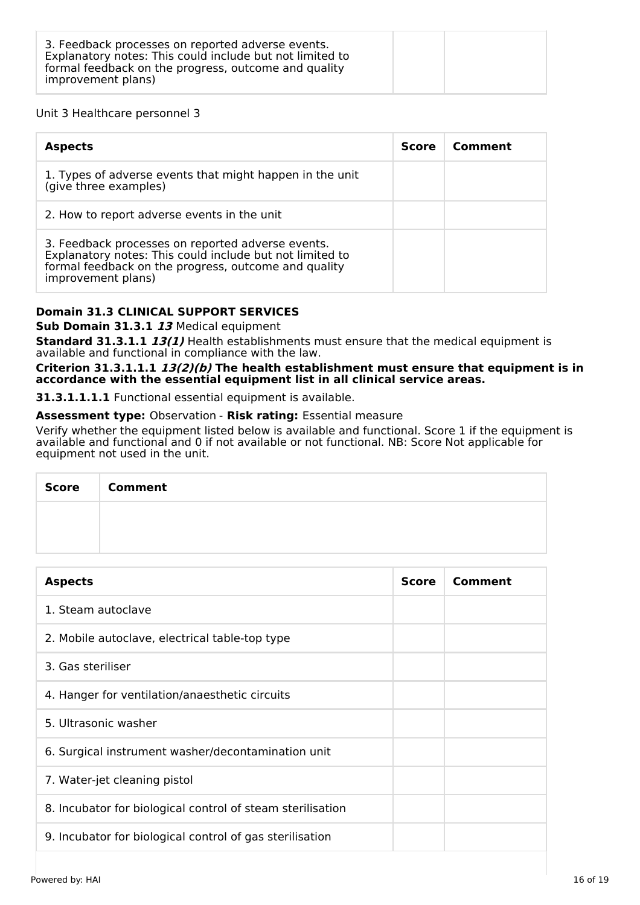## Unit 3 Healthcare personnel 3

| <b>Aspects</b>                                                                                                                                                                              | <b>Score</b> | Comment |
|---------------------------------------------------------------------------------------------------------------------------------------------------------------------------------------------|--------------|---------|
| 1. Types of adverse events that might happen in the unit<br>(give three examples)                                                                                                           |              |         |
| 2. How to report adverse events in the unit                                                                                                                                                 |              |         |
| 3. Feedback processes on reported adverse events.<br>Explanatory notes: This could include but not limited to<br>formal feedback on the progress, outcome and quality<br>improvement plans) |              |         |

## **Domain 31.3 CLINICAL SUPPORT SERVICES**

## **Sub Domain 31.3.1 13** Medical equipment

**Standard 31.3.1.1 13(1)** Health establishments must ensure that the medical equipment is available and functional in compliance with the law.

**Criterion 31.3.1.1.1 13(2)(b) The health establishment must ensure that equipment is in accordance with the essential equipment list in all clinical service areas.**

**31.3.1.1.1.1** Functional essential equipment is available.

## **Assessment type:** Observation - **Risk rating:** Essential measure

Verify whether the equipment listed below is available and functional. Score 1 if the equipment is available and functional and 0 if not available or not functional. NB: Score Not applicable for equipment not used in the unit.

| Score   Comment |
|-----------------|
|                 |
|                 |

| <b>Aspects</b>                                             | <b>Score</b> | Comment |
|------------------------------------------------------------|--------------|---------|
| 1. Steam autoclave                                         |              |         |
| 2. Mobile autoclave, electrical table-top type             |              |         |
| 3. Gas steriliser                                          |              |         |
| 4. Hanger for ventilation/anaesthetic circuits             |              |         |
| 5. Ultrasonic washer                                       |              |         |
| 6. Surgical instrument washer/decontamination unit         |              |         |
| 7. Water-jet cleaning pistol                               |              |         |
| 8. Incubator for biological control of steam sterilisation |              |         |
| 9. Incubator for biological control of gas sterilisation   |              |         |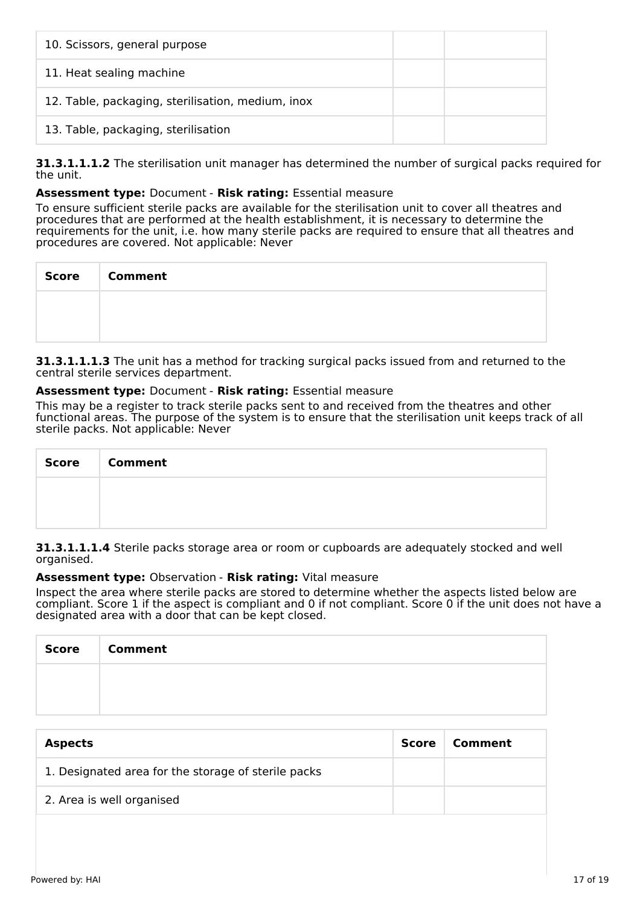| 10. Scissors, general purpose                     |  |
|---------------------------------------------------|--|
| 11. Heat sealing machine                          |  |
| 12. Table, packaging, sterilisation, medium, inox |  |
| 13. Table, packaging, sterilisation               |  |

**31.3.1.1.1.2** The sterilisation unit manager has determined the number of surgical packs required for the unit.

## **Assessment type:** Document - **Risk rating:** Essential measure

To ensure sufficient sterile packs are available for the sterilisation unit to cover all theatres and procedures that are performed at the health establishment, it is necessary to determine the requirements for the unit, i.e. how many sterile packs are required to ensure that all theatres and procedures are covered. Not applicable: Never

| Score   Comment |
|-----------------|
|                 |
|                 |

**31.3.1.1.1.3** The unit has a method for tracking surgical packs issued from and returned to the central sterile services department.

## **Assessment type:** Document - **Risk rating:** Essential measure

This may be a register to track sterile packs sent to and received from the theatres and other functional areas. The purpose of the system is to ensure that the sterilisation unit keeps track of all sterile packs. Not applicable: Never

| Score   Comment |
|-----------------|
|                 |
|                 |

**31.3.1.1.1.4** Sterile packs storage area or room or cupboards are adequately stocked and well organised.

## **Assessment type:** Observation - **Risk rating:** Vital measure

Inspect the area where sterile packs are stored to determine whether the aspects listed below are compliant. Score 1 if the aspect is compliant and 0 if not compliant. Score 0 if the unit does not have a designated area with a door that can be kept closed.

| <b>Score</b> | <b>Comment</b> |
|--------------|----------------|
|              |                |
|              |                |

| <b>Aspects</b>                                      | Score | Comment |
|-----------------------------------------------------|-------|---------|
| 1. Designated area for the storage of sterile packs |       |         |
| 2. Area is well organised                           |       |         |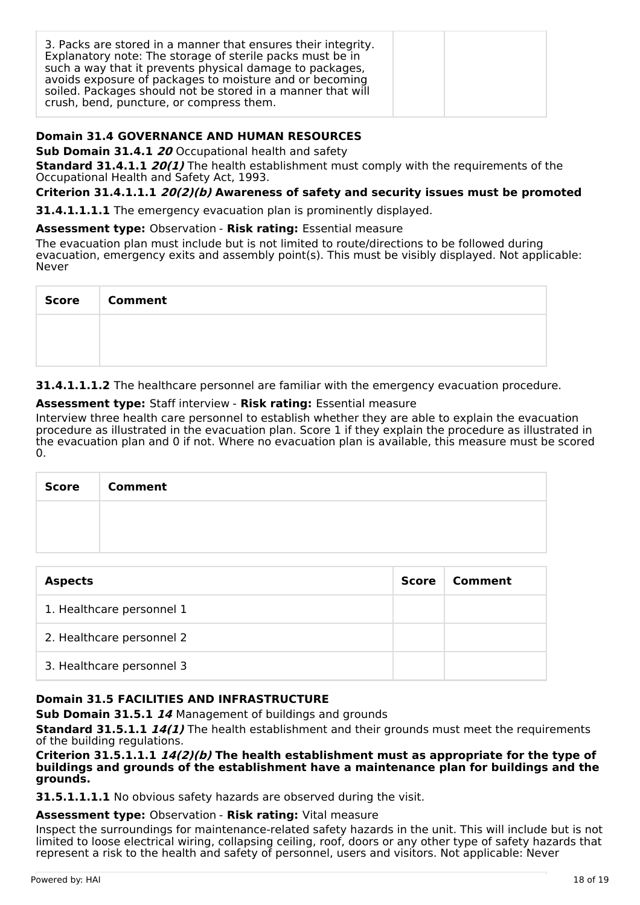| 3. Packs are stored in a manner that ensures their integrity.<br>Explanatory note: The storage of sterile packs must be in<br>such a way that it prevents physical damage to packages,<br>avoids exposure of packages to moisture and or becoming<br>soiled. Packages should not be stored in a manner that will<br>crush, bend, puncture, or compress them. |  |
|--------------------------------------------------------------------------------------------------------------------------------------------------------------------------------------------------------------------------------------------------------------------------------------------------------------------------------------------------------------|--|
|--------------------------------------------------------------------------------------------------------------------------------------------------------------------------------------------------------------------------------------------------------------------------------------------------------------------------------------------------------------|--|

## **Domain 31.4 GOVERNANCE AND HUMAN RESOURCES**

**Sub Domain 31.4.1 20** Occupational health and safety

**Standard 31.4.1.1 20(1)** The health establishment must comply with the requirements of the Occupational Health and Safety Act, 1993.

**Criterion 31.4.1.1.1 20(2)(b) Awareness of safety and security issues must be promoted**

**31.4.1.1.1.1** The emergency evacuation plan is prominently displayed.

**Assessment type:** Observation - **Risk rating:** Essential measure

The evacuation plan must include but is not limited to route/directions to be followed during evacuation, emergency exits and assembly point(s). This must be visibly displayed. Not applicable: Never

| <b>Score</b> | <b>Comment</b> |
|--------------|----------------|
|              |                |
|              |                |

**31.4.1.1.1.2** The healthcare personnel are familiar with the emergency evacuation procedure.

## **Assessment type:** Staff interview - **Risk rating:** Essential measure

Interview three health care personnel to establish whether they are able to explain the evacuation procedure as illustrated in the evacuation plan. Score 1 if they explain the procedure as illustrated in the evacuation plan and 0 if not. Where no evacuation plan is available, this measure must be scored 0.

| <b>Score</b> | <b>Comment</b> |
|--------------|----------------|
|              |                |
|              |                |

| <b>Aspects</b>            | Score | Comment |
|---------------------------|-------|---------|
| 1. Healthcare personnel 1 |       |         |
| 2. Healthcare personnel 2 |       |         |
| 3. Healthcare personnel 3 |       |         |

## **Domain 31.5 FACILITIES AND INFRASTRUCTURE**

**Sub Domain 31.5.1 14** Management of buildings and grounds

**Standard 31.5.1.1 14(1)** The health establishment and their grounds must meet the requirements of the building regulations.

#### **Criterion 31.5.1.1.1 14(2)(b) The health establishment must as appropriate for the type of buildings and grounds of the establishment have a maintenance plan for buildings and the grounds.**

**31.5.1.1.1.1** No obvious safety hazards are observed during the visit.

## **Assessment type:** Observation - **Risk rating:** Vital measure

Inspect the surroundings for maintenance-related safety hazards in the unit. This will include but is not limited to loose electrical wiring, collapsing ceiling, roof, doors or any other type of safety hazards that represent a risk to the health and safety of personnel, users and visitors. Not applicable: Never